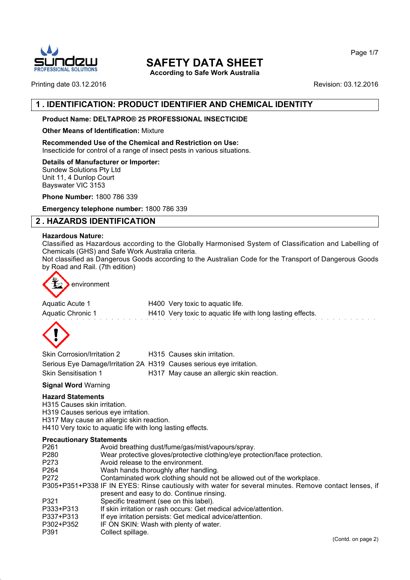

**According to Safe Work Australia**

Page 1/7

#### Printing date 03.12.2016 **Revision: 03.12.2016** Revision: 03.12.2016

## **1 . IDENTIFICATION: PRODUCT IDENTIFIER AND CHEMICAL IDENTITY**

#### **Product Name: DELTAPRO® 25 PROFESSIONAL INSECTICIDE**

#### **Other Means of Identification:** Mixture

**Recommended Use of the Chemical and Restriction on Use:** Insecticide for control of a range of insect pests in various situations.

#### **Details of Manufacturer or Importer:**

Sundew Solutions Pty Ltd Unit 11, 4 Dunlop Court Bayswater VIC 3153

**Phone Number:** 1800 786 339

**Emergency telephone number:** 1800 786 339

## **2 . HAZARDS IDENTIFICATION**

#### **Hazardous Nature:**

Classified as Hazardous according to the Globally Harmonised System of Classification and Labelling of Chemicals (GHS) and Safe Work Australia criteria.

Not classified as Dangerous Goods according to the Australian Code for the Transport of Dangerous Goods by Road and Rail. (7th edition)



| Aquatic Acute 1   | H400 Very toxic to aquatic life.                           |  |
|-------------------|------------------------------------------------------------|--|
| Aquatic Chronic 1 | H410 Very toxic to aquatic life with long lasting effects. |  |



| Skin Corrosion/Irritation 2                                          | H315 Causes skin irritation.              |
|----------------------------------------------------------------------|-------------------------------------------|
| Serious Eye Damage/Irritation 2A H319 Causes serious eye irritation. |                                           |
| <b>Skin Sensitisation 1</b>                                          | H317 May cause an allergic skin reaction. |

#### **Signal Word** Warning

#### **Hazard Statements**

H315 Causes skin irritation.

- H319 Causes serious eye irritation.
- H317 May cause an allergic skin reaction.

H410 Very toxic to aquatic life with long lasting effects.

#### **Precautionary Statements**

- P261 Avoid breathing dust/fume/gas/mist/vapours/spray.
- P280 Wear protective gloves/protective clothing/eye protection/face protection.<br>P273 Avoid release to the environment.
- P273 Avoid release to the environment.<br>P264 Wash hands thoroughly after hand
- Wash hands thoroughly after handling.
- P272 Contaminated work clothing should not be allowed out of the workplace.

P305+P351+P338 IF IN EYES: Rinse cautiously with water for several minutes. Remove contact lenses, if present and easy to do. Continue rinsing.

- P321 Specific treatment (see on this label).<br>P333+P313 If skin irritation or rash occurs: Get me
- If skin irritation or rash occurs: Get medical advice/attention.
- P337+P313 If eye irritation persists: Get medical advice/attention.
- P302+P352 IF ON SKIN: Wash with plenty of water.
- P391 Collect spillage.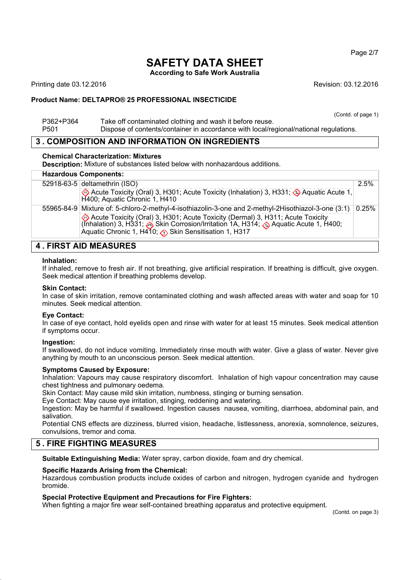**According to Safe Work Australia**

Printing date 03.12.2016 **Revision: 03.12.2016** Revision: 03.12.2016

#### **Product Name: DELTAPRO® 25 PROFESSIONAL INSECTICIDE**

(Contd. of page 1)

P362+P364 Take off contaminated clothing and wash it before reuse. P501 Dispose of contents/container in accordance with local/regional/national regulations.

## **3 . COMPOSITION AND INFORMATION ON INGREDIENTS**

#### **Chemical Characterization: Mixtures**

**Description:** Mixture of substances listed below with nonhazardous additions.

## **Hazardous Components:**

| <u>Hazaravus Oomponemis.</u> |                                                                                                                                                                                                                                                                |          |
|------------------------------|----------------------------------------------------------------------------------------------------------------------------------------------------------------------------------------------------------------------------------------------------------------|----------|
|                              | 52918-63-5 deltamethrin (ISO)                                                                                                                                                                                                                                  | 2.5%     |
|                              | Acute Toxicity (Oral) 3, H301; Acute Toxicity (Inhalation) 3, H331; Aquatic Acute 1,<br>H400; Aquatic Chronic 1, H410                                                                                                                                          |          |
|                              | [310] 55965-84-9 Mixture of: 5-chloro-2-methyl-4-isothiazolin-3-one and 2-methyl-2Hisothiazol-3-one                                                                                                                                                            | $0.25\%$ |
|                              | Acute Toxicity (Oral) 3, H301; Acute Toxicity (Dermal) 3, H311; Acute Toxicity (Inhalation) 3, H331; $\leftrightarrow$ Skin Corrosion/Irritation 1A, H314; $\leftrightarrow$ Aquatic Acute 1, H400;<br>Aquatic Chronic 1, H410; (b) Skin Sensitisation 1, H317 |          |
| EIDST AIN MEASHDES           |                                                                                                                                                                                                                                                                |          |

## **4 . FIRST AID MEASURES**

#### **Inhalation:**

If inhaled, remove to fresh air. If not breathing, give artificial respiration. If breathing is difficult, give oxygen. Seek medical attention if breathing problems develop.

#### **Skin Contact:**

In case of skin irritation, remove contaminated clothing and wash affected areas with water and soap for 10 minutes. Seek medical attention.

#### **Eye Contact:**

In case of eye contact, hold eyelids open and rinse with water for at least 15 minutes. Seek medical attention if symptoms occur.

#### **Ingestion:**

If swallowed, do not induce vomiting. Immediately rinse mouth with water. Give a glass of water. Never give anything by mouth to an unconscious person. Seek medical attention.

#### **Symptoms Caused by Exposure:**

Inhalation: Vapours may cause respiratory discomfort. Inhalation of high vapour concentration may cause chest tightness and pulmonary oedema.

Skin Contact: May cause mild skin irritation, numbness, stinging or burning sensation.

Eye Contact: May cause eye irritation, stinging, reddening and watering.

Ingestion: May be harmful if swallowed. Ingestion causes nausea, vomiting, diarrhoea, abdominal pain, and salivation.

Potential CNS effects are dizziness, blurred vision, headache, listlessness, anorexia, somnolence, seizures, convulsions, tremor and coma.

## **5 . FIRE FIGHTING MEASURES**

**Suitable Extinguishing Media:** Water spray, carbon dioxide, foam and dry chemical.

#### **Specific Hazards Arising from the Chemical:**

Hazardous combustion products include oxides of carbon and nitrogen, hydrogen cyanide and hydrogen bromide.

#### **Special Protective Equipment and Precautions for Fire Fighters:**

When fighting a major fire wear self-contained breathing apparatus and protective equipment.

(Contd. on page 3)

Page 2/7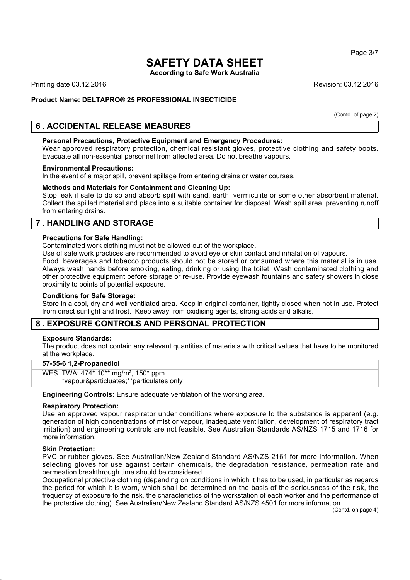**According to Safe Work Australia**

Printing date 03.12.2016 **Revision: 03.12.2016** Revision: 03.12.2016

#### **Product Name: DELTAPRO® 25 PROFESSIONAL INSECTICIDE**

(Contd. of page 2)

## **6 . ACCIDENTAL RELEASE MEASURES**

#### **Personal Precautions, Protective Equipment and Emergency Procedures:**

Wear approved respiratory protection, chemical resistant gloves, protective clothing and safety boots. Evacuate all non-essential personnel from affected area. Do not breathe vapours.

#### **Environmental Precautions:**

In the event of a major spill, prevent spillage from entering drains or water courses.

#### **Methods and Materials for Containment and Cleaning Up:**

Stop leak if safe to do so and absorb spill with sand, earth, vermiculite or some other absorbent material. Collect the spilled material and place into a suitable container for disposal. Wash spill area, preventing runoff from entering drains.

## **7 . HANDLING AND STORAGE**

#### **Precautions for Safe Handling:**

Contaminated work clothing must not be allowed out of the workplace.

Use of safe work practices are recommended to avoid eye or skin contact and inhalation of vapours.

Food, beverages and tobacco products should not be stored or consumed where this material is in use. Always wash hands before smoking, eating, drinking or using the toilet. Wash contaminated clothing and other protective equipment before storage or re-use. Provide eyewash fountains and safety showers in close proximity to points of potential exposure.

#### **Conditions for Safe Storage:**

Store in a cool, dry and well ventilated area. Keep in original container, tightly closed when not in use. Protect from direct sunlight and frost. Keep away from oxidising agents, strong acids and alkalis.

## **8 . EXPOSURE CONTROLS AND PERSONAL PROTECTION**

#### **Exposure Standards:**

The product does not contain any relevant quantities of materials with critical values that have to be monitored at the workplace.

#### **57-55-6 1,2-Propanediol**

WES TWA: 474\* 10\*\* mg/m<sup>3</sup>, 150\* ppm \*vapour&particluates;\*\*particulates only

**Engineering Controls:** Ensure adequate ventilation of the working area.

#### **Respiratory Protection:**

Use an approved vapour respirator under conditions where exposure to the substance is apparent (e.g. generation of high concentrations of mist or vapour, inadequate ventilation, development of respiratory tract irritation) and engineering controls are not feasible. See Australian Standards AS/NZS 1715 and 1716 for more information.

#### **Skin Protection:**

PVC or rubber gloves. See Australian/New Zealand Standard AS/NZS 2161 for more information. When selecting gloves for use against certain chemicals, the degradation resistance, permeation rate and permeation breakthrough time should be considered.

Occupational protective clothing (depending on conditions in which it has to be used, in particular as regards the period for which it is worn, which shall be determined on the basis of the seriousness of the risk, the frequency of exposure to the risk, the characteristics of the workstation of each worker and the performance of the protective clothing). See Australian/New Zealand Standard AS/NZS 4501 for more information.

(Contd. on page 4)

Page 3/7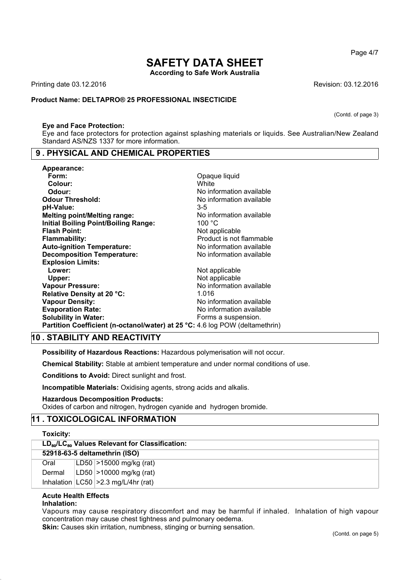**According to Safe Work Australia**

Printing date 03.12.2016 **Revision: 03.12.2016** Revision: 03.12.2016

#### **Product Name: DELTAPRO® 25 PROFESSIONAL INSECTICIDE**

#### **Eye and Face Protection:**

Eye and face protectors for protection against splashing materials or liquids. See Australian/New Zealand Standard AS/NZS 1337 for more information.

#### **9 . PHYSICAL AND CHEMICAL PROPERTIES**

| Appearance:                                                                  |                          |
|------------------------------------------------------------------------------|--------------------------|
| Form:                                                                        | Opaque liquid            |
| Colour:                                                                      | White                    |
| Odour:                                                                       | No information available |
| <b>Odour Threshold:</b>                                                      | No information available |
| pH-Value:                                                                    | $3-5$                    |
| <b>Melting point/Melting range:</b>                                          | No information available |
| <b>Initial Boiling Point/Boiling Range:</b>                                  | 100 $^{\circ}$ C         |
| <b>Flash Point:</b>                                                          | Not applicable           |
| <b>Flammability:</b>                                                         | Product is not flammable |
| <b>Auto-ignition Temperature:</b>                                            | No information available |
| <b>Decomposition Temperature:</b>                                            | No information available |
| <b>Explosion Limits:</b>                                                     |                          |
| Lower:                                                                       | Not applicable           |
| Upper:                                                                       | Not applicable           |
| <b>Vapour Pressure:</b>                                                      | No information available |
| Relative Density at 20 °C:                                                   | 1.016                    |
| <b>Vapour Density:</b>                                                       | No information available |
| <b>Evaporation Rate:</b>                                                     | No information available |
| <b>Solubility in Water:</b>                                                  | Forms a suspension.      |
| Partition Coefficient (n-octanol/water) at 25 °C: 4.6 log POW (deltamethrin) |                          |

## **10 . STABILITY AND REACTIVITY**

**Possibility of Hazardous Reactions:** Hazardous polymerisation will not occur.

**Chemical Stability:** Stable at ambient temperature and under normal conditions of use.

**Conditions to Avoid:** Direct sunlight and frost.

**Incompatible Materials:** Oxidising agents, strong acids and alkalis.

#### **Hazardous Decomposition Products:**

Oxides of carbon and nitrogen, hydrogen cyanide and hydrogen bromide.

## **11 . TOXICOLOGICAL INFORMATION**

| <b>Toxicity:</b>              |  |                                                                        |
|-------------------------------|--|------------------------------------------------------------------------|
|                               |  | LD <sub>50</sub> /LC <sub>50</sub> Values Relevant for Classification: |
| 52918-63-5 deltamethrin (ISO) |  |                                                                        |
| Oral                          |  | LD50 $>15000$ mg/kg (rat)                                              |
| Dermal                        |  | LD50 $ >$ 10000 mg/kg (rat)                                            |
|                               |  | Inhalation $ LC50  > 2.3$ mg/L/4hr (rat)                               |

## **Acute Health Effects**

**Inhalation:**

Vapours may cause respiratory discomfort and may be harmful if inhaled. Inhalation of high vapour concentration may cause chest tightness and pulmonary oedema.

**Skin:** Causes skin irritation, numbness, stinging or burning sensation.

Page 4/7

(Contd. of page 3)

(Contd. on page 5)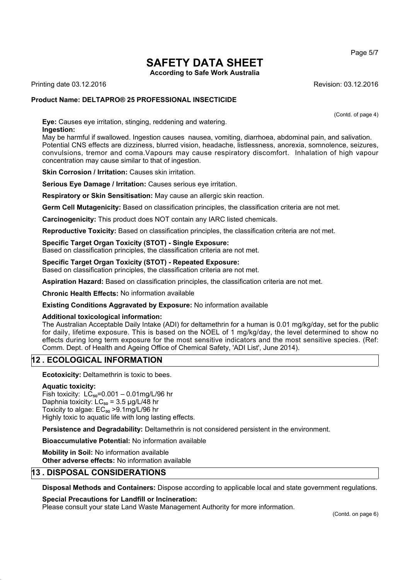**According to Safe Work Australia**

Printing date 03.12.2016 **Revision: 03.12.2016** Revision: 03.12.2016

#### **Product Name: DELTAPRO® 25 PROFESSIONAL INSECTICIDE**

(Contd. of page 4)

**Eye:** Causes eye irritation, stinging, reddening and watering. **Ingestion:**

May be harmful if swallowed. Ingestion causes nausea, vomiting, diarrhoea, abdominal pain, and salivation. Potential CNS effects are dizziness, blurred vision, headache, listlessness, anorexia, somnolence, seizures, convulsions, tremor and coma.Vapours may cause respiratory discomfort. Inhalation of high vapour concentration may cause similar to that of ingestion.

**Skin Corrosion / Irritation: Causes skin irritation.** 

**Serious Eye Damage / Irritation:** Causes serious eye irritation.

**Respiratory or Skin Sensitisation:** May cause an allergic skin reaction.

**Germ Cell Mutagenicity:** Based on classification principles, the classification criteria are not met.

**Carcinogenicity:** This product does NOT contain any IARC listed chemicals.

**Reproductive Toxicity:** Based on classification principles, the classification criteria are not met.

#### **Specific Target Organ Toxicity (STOT) - Single Exposure:**

Based on classification principles, the classification criteria are not met.

#### **Specific Target Organ Toxicity (STOT) - Repeated Exposure:**

Based on classification principles, the classification criteria are not met.

**Aspiration Hazard:** Based on classification principles, the classification criteria are not met.

**Chronic Health Effects:** No information available

#### **Existing Conditions Aggravated by Exposure:** No information available

#### **Additional toxicological information:**

The Australian Acceptable Daily Intake (ADI) for deltamethrin for a human is 0.01 mg/kg/day, set for the public for daily, lifetime exposure. This is based on the NOEL of 1 mg/kg/day, the level determined to show no effects during long term exposure for the most sensitive indicators and the most sensitive species. (Ref: Comm. Dept. of Health and Ageing Office of Chemical Safety, 'ADI List', June 2014).

## **12 . ECOLOGICAL INFORMATION**

**Ecotoxicity:** Deltamethrin is toxic to bees.

#### **Aquatic toxicity:**

Fish toxicity:  $LC_{50} = 0.001 - 0.01$ mg/L/96 hr Daphnia toxicity:  $LC_{50} = 3.5 \mu g/L/48$  hr Toxicity to algae:  $EC_{50} > 9.1$ mg/L/96 hr Highly toxic to aquatic life with long lasting effects.

**Persistence and Degradability:** Deltamethrin is not considered persistent in the environment.

**Bioaccumulative Potential:** No information available

**Mobility in Soil:** No information available **Other adverse effects:** No information available

## **13 . DISPOSAL CONSIDERATIONS**

**Disposal Methods and Containers:** Dispose according to applicable local and state government regulations.

#### **Special Precautions for Landfill or Incineration:**

Please consult your state Land Waste Management Authority for more information.

Page 5/7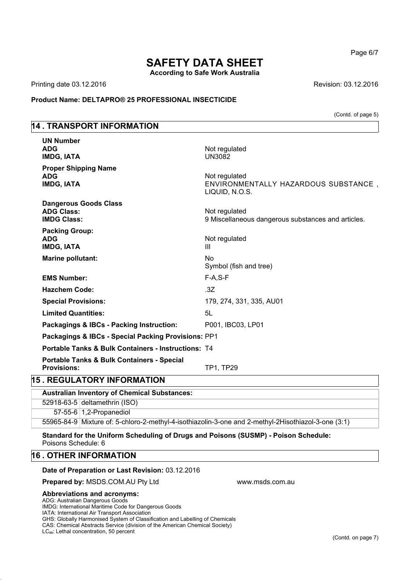**According to Safe Work Australia**

Printing date 03.12.2016 **Revision: 03.12.2016** Revision: 03.12.2016

**Product Name: DELTAPRO® 25 PROFESSIONAL INSECTICIDE**

(Contd. of page 5)

## **14 . TRANSPORT INFORMATION**

| <b>UN Number</b><br><b>ADG</b><br><b>IMDG, IATA</b>                         | Not regulated<br>UN3082                                                 |
|-----------------------------------------------------------------------------|-------------------------------------------------------------------------|
| <b>Proper Shipping Name</b><br><b>ADG</b><br><b>IMDG, IATA</b>              | Not regulated<br>ENVIRONMENTALLY HAZARDOUS SUBSTANCE,<br>LIQUID, N.O.S. |
| <b>Dangerous Goods Class</b><br><b>ADG Class:</b><br><b>IMDG Class:</b>     | Not regulated<br>9 Miscellaneous dangerous substances and articles.     |
| <b>Packing Group:</b><br><b>ADG</b><br><b>IMDG, IATA</b>                    | Not regulated<br>$\mathbf{III}$                                         |
| <b>Marine pollutant:</b>                                                    | No<br>Symbol (fish and tree)                                            |
| <b>EMS Number:</b>                                                          | $F-A, S-F$                                                              |
| <b>Hazchem Code:</b>                                                        | .3Z                                                                     |
| <b>Special Provisions:</b>                                                  | 179, 274, 331, 335, AU01                                                |
| <b>Limited Quantities:</b>                                                  | 5L                                                                      |
| Packagings & IBCs - Packing Instruction:                                    | P001, IBC03, LP01                                                       |
| Packagings & IBCs - Special Packing Provisions: PP1                         |                                                                         |
| <b>Portable Tanks &amp; Bulk Containers - Instructions: T4</b>              |                                                                         |
| <b>Portable Tanks &amp; Bulk Containers - Special</b><br><b>Provisions:</b> | TP1, TP29                                                               |
| <b>15. REGULATORY INFORMATION</b>                                           |                                                                         |
| <b>Australian Inventory of Chemical Substances:</b>                         |                                                                         |

## **Australian Inventory of Chemical Substances:** 52918-63-5 deltamethrin (ISO) 57-55-6 1,2-Propanediol

55965-84-9 Mixture of: 5-chloro-2-methyl-4-isothiazolin-3-one and 2-methyl-2Hisothiazol-3-one (3:1)

#### **Standard for the Uniform Scheduling of Drugs and Poisons (SUSMP) - Poison Schedule:** Poisons Schedule: 6

## **16 . OTHER INFORMATION**

#### **Date of Preparation or Last Revision:** 03.12.2016

**Prepared by: MSDS.COM.AU Pty Ltd www.msds.com.au** 

#### **Abbreviations and acronyms:**

ADG: Australian Dangerous Goods IMDG: International Maritime Code for Dangerous Goods IATA: International Air Transport Association GHS: Globally Harmonised System of Classification and Labelling of Chemicals CAS: Chemical Abstracts Service (division of the American Chemical Society)

LC<sub>50</sub>: Lethal concentration, 50 percent

Page 6/7

(Contd. on page 7)